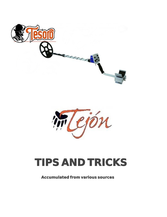



# **TIPS AND TRICKS**

# **Accumulated from various sources**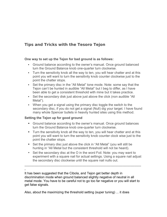# **Tips and Tricks with the Tesoro Tejon**

## **One way to set up the Tejon for bad ground is as follows:**

- Ground balance according to the owner's manual. Once ground balanced turn the Ground Balance knob one-quarter turn clockwise.
- Turn the sensitivity knob all the way to ten, you will hear chatter and at this point you will want to turn the sensitivity knob counter clockwise just to the point the chatter stops.
- Set the primary disc in the "All Metal" tone mode. Note: some say that the Tejon can't be hunted in audible "All Metal" but I beg to differ, as I have been able to get a consistent threshold with mine but it takes practice.
- Set the secondary disk just above just above the click (non audible "All Metal").
- When you get a signal using the primary disc toggle the switch to the secondary disc, if you do not get a signal (Null) dig your target. I have found many whole Spencer bullets in heavily hunted sites using this method.

## **Setting the Tejon up for good ground**

- Ground balance according to the owner's manual. Once ground balances turn the Ground Balance knob one-quarter turn clockwise.
- Turn the sensitivity knob all the way to ten, you will hear chatter and at this point you will want to turn the sensitivity knob counter clock wise just to the point the chatter stops.
- Set the primary disc just above the click in "All Metal" (you will still be hunting in "All Metal but the consistent threshold will not be heard).
- Set the secondary disc at the O in the word Foil. Note: you may want to experiment with a square nail for actual settings. Using a square nail adjust the secondary disc clockwise until the square nail nulls out.

-----------------------------------------------------------------------------------------------------------

- It has been suggested that the Cibola, and Tejon get better depth in discrimination mode when ground balanced slightly negative of neutral in all metal mode. You have to be careful not to go too far negative or you will start to get false signals.

Also, about the maximizing the threshold setting (super tuning) ... it does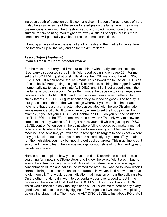increase depth of detection but it also hurts discrimination of larger pieces of iron. It also takes away some of the subtle tone edges on the larger iron. The normal preference is to run with the threshold set to a low back ground tone that is suitable for pin pointing. You might give away a little bit of depth, but it is more usable and will generally give better results in most conditions.

If hunting an area where there is not a lot of trash and the hunt is for relics, turn the threshold up all the way and go for maximum depth.

-----------------------------------------------------------------------

#### **Tesoro Tejon (***Tay-hawn***) (from a Treasure Depot detector review)**

For the most part, Larry and I ran our machines with nearly identical settings. (See Larry's suggested setup in his field report beginning on page 28). For me, I set the DISC LEVEL just at or slightly above the FOIL mark and the ALT DISC LEVEL set just a hair above the TAB mark. This allowed me to use ALT DISC as a "coin-check." After getting a signal in Discriminate, pushing the trigger forward momentarily switches the unit into ALT DISC, and if I still get a good signal, then the target is probably a coin. Quite often I made the decision to dig a target even before switching to ALT DISC, and in some cases I never even bothered to check targets in ALT DISC (just because they sounded so good). The beauty is that you can set either of the two settings wherever you want. It is important to note here that the alpha character labels associated with the two Discriminate knobs make it a bit difficult to know exactly where to set the knob pointer. For example, if you set your DISC LEVEL control on FOIL, do you put the pointer on the "L" in FOIL, or the "F", or somewhere in between? The only way to know for sure is to test it by waving a foil target across your coil while adjusting the DISC LEVEL control. When you hit the point where foil is knocked out, make a mental note of exactly where the pointer is. I hate to keep saying it but because this machine is so sensitive, you will have to test specific targets to see exactly where they get knocked out and set your controls accordingly. If you are off by a hair (on the high side), you may be knocking out desired targets. This machine is tight so you will have to learn the various settings for your style of hunting and types of targets you desire.

Here is one example of how you can use the dual Discriminate controls. I was searching for a new site (Stage stop), and I knew the exact field it was in but not where the actual building had stood. Sites of this nature usually have a large concentration of iron and nails in the immediate area, so I wanted to know when I started picking up concentrations of iron targets. However, I did not want to have to dig them all. That would be an indication that I was on or near the building site. On the other hand, I didn't want to accidentally pass over a good target in the process so here's what I did. I set the DISC LEVEL knob way down on IRON, which would knock out only the tiny pieces but still allow me to hear nearly every good-sized nail. I tested this by digging a few targets so I was sure I was picking up only the bigger nails. Then I set the ALT DISC LEVEL to just above FOIL. As I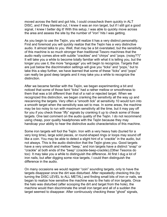moved across the field and got hits, I could crosscheck them quickly in ALT DISC, and if they blanked out, I knew it was an iron target, but if I still got a good signal, I knew I better dig it! With this setup, I was able to quickly move across the area and assess the site by the number of "iron" hits I was getting.

As you begin to use the Tejón, you will realize it has a very distinct personality. First and foremost you will quickly realize that the Tejón has a very distinctive audio. It almost talks to you. Well, that may be a bit overstated, but the sensitivity of this machine is so much stronger than traditional Tesoro machines that the audio really comes alive with subtle "crackles" and "chirps" and "pops. (noisy??)" It will take you a while to become totally familiar with what it is telling you, but the longer you use it, the more "language" you will begin to recognize. Targets that are just below the discrimination settings will give you "ticks" and "pops," but to take this a step further, we have learned that some of these "ticks" and "pops" can really be good deep targets and it may take you a while to recognize the distinction.

After we became familiar with the Tejón, we began experimenting a bit and noticed that some of those faint "ticks" had a rather mellow or smoothness to them that was a bit different than that of a nail or rejected target. When we recognized this distinction, we began cranking the sensitivity all the way up and rescanning the targets. Very often a "smooth tick" at sensitivity 10 would turn into a smooth target when the sensitivity was set to max. In some areas, the machine may be too noisy to run with maximum sensitivity all the time, but it may pay off for you if you check those "iffy" signals by cranking it up to check some of those targets. One last comment on the audio quality of the Tejón. I do not recommend using cheap, poor quality headphones with the Tejón because they may handicap your ability to hear the distinctive audio characteristics of this machine.

Some iron targets will fool the Tejón. Iron with a very heavy halo (buried for a very long time), large solid pieces, or round-shaped rings or loops may sound off like a coin. You may be able to detect a slight hint of a "crackle" in the audio, but not always. This is the audio distinction that the Tejón gives you. Good targets have a very smooth and mellow "beep," and iron targets have a distinct "snap" or "crackle" at both ends of the "beep" (crackle-beep-crackle).(Other Tesoros do too) It may take you a while to distinguish the difference. At first I dug a lot of iron nails, but after digging some nice targets, I could then distinguish the difference in the audio.

On many occasions we would register "coin" sounding targets, only to have the targets disappear once the dirt was disturbed. After repeatedly checking this (by turning the DISC LEVEL to ALL METAL) and finding small bits of iron or nails, we began to realize how sensitive the machine was to the halo of iron targets. Once the halo was disturbed (after scooping the dirt and target from the hole), the machine would then discriminate the small iron target and all of a sudden the target seemed to disappear. After continuously checking these "ghost" signals,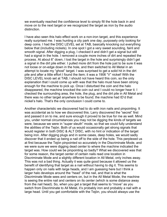we eventually reached the confidence level to simply fill the hole back in and move on to the next target or we recognized the target as iron by the audio distinction.

I have also seen this halo effect work on a non-iron target, and this experience really surprised me. I was hunting a city park one day, purposely only looking for deep coins. I had the DISC LEVEL set at TAB, basically knocking out everything below that (including nickels). In one spot I got a very sweet sounding, faint and smooth signal. After digging a plug, I checked it and didn't get a signal but still had a signal in the hole. I removed a couple more inches of dirt and repeated the process. At about 6" down, I lost the target in the hole and surprisingly didn't get a signal in the dirt pile either. I pulled more dirt from the hole just to be sure it was not loose or on-edge down in the hole, and then switched to All Metal in an attempt to locate my "ghost" target. I was surprised to get a solid hit in the dirt pile and after a little effort I found the item; it was a 1906 "V" nickel! With the DISC LEVEL knob set at TAB, I should not have heard this coin, so the only explanation that I could come up with was that the halo must have been strong enough for the machine to pick up. Once I disturbed the coin and the halo disappeared, the machine knocked the coin out and I could no longer hear it. I checked the surrounding area, the hole, the plug, and the dirt pile in All Metal and there was no other target anywhere to be found; the machine had ID'd that nickel's halo. That's the only conclusion I could come to.

Another characteristic we discovered had to do with iron nails and pinpointing. It was accidental as to how we discovered this. Larry discovered the "secret" first and passed it on to me, and sure enough it proved to be true for me as well. Mind you, under normal circumstances you may not be digging the kinds of targets we were, because we were in "super sleuth" mode, so that we could fully understand the abilities of the Tejón. Both of us would occasionally get strong signals that would register in both DISC & ALT DISC, with no hint or indication of the target being iron. After digging plugs and in some cases, deep holes, we would sadly discover that it ended up being a nail off to the side of the hole. This perplexed us at first because the Tejón pinpointed so accurately in the Discriminate Mode, and we were sure we were digging dead center to where the machine indicated the target was. How could we be pinpointing so badly? What we discovered was that for some reason, the target center of certain nails read one location in Discriminate Mode and a slightly different location in All Metal, only inches away. This was not a bad thing. Actually it was quite good because it allowed us the benefit of identifying that target as a nail without having to dig it. This seems to happen only on nails with large heads, and I am guessing here but I think a larger halo develops around the "head" of the nail, and that is what the Discriminate Mode sees and centers on, but in the All Metal Mode, the machine is seeing the entire nail and centers on its center (which is some distance away from the nail head). So, when you get a target that seems to "move" as you switch from Discriminate to All Metal, it's probably iron and probably a nail with a large head. Until you get comfortable with the Tejón, you should always use the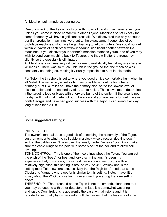All Metal pinpoint mode as your guide.

One drawback of the Tejón has to do with crosstalk, and it may never affect you unless you come in close contact with other Tejóns. Machines set at exactly the same frequency will have significant crosstalk. We discovered this only because our first production machines were set to the exact same frequencies of our prototype machines, which we began loaning to fellow hunters. We could not get within 20 yards of each other without hearing significant chatter between the machines. If you discover your partner's machine matches yours, one of you may wish to send your machine back to Tesoro, and they will alter the frequency slightly so the crosstalk is eliminated.

All Metal operation was very difficult for me to realistically test at my sites here in Wisconsin. There was so much junk iron in the ground that the machine was constantly sounding off, making it virtually impossible to hunt in this mode.

For Tejon the threshold is set to where you good a nice comfortable hum when in all Metal. The sensitivity is set as high as possible without getting chatter. I primarily hunt CW relics so I have the primary disc. set to the lowest level of discrimination and the secondary disc. set to nickel. This allows me to determine if the target is lead or brass with a forward bump of the switch. If the area is not trashy I will hunt in all metal. Ground balance and you are ready to hunt. I live in north Georgia and have had good success with the Tejon. I can swing it all day long at less than 3 LBS.

-----------------------------------------------------------------------------------------------------------

## **Some suggested settings:**

#### INITIAL SET-UP

-

The owner's manual does a good job of describing the assembly of the Tejon. Just remember to wind the coil cable in a clock-wise direction (looking down) so that the cable doesn't pass over the small, center "receive" coil. Also, make sure the cable clings to the pole with some slack at the coil end to allow coil pivoting,

TONE CONTROL---Th|s is one of the nice things about the Tejon. You can set the pitch of the "beep" for best auditory discrimination. It's been my experience that, to my ears, the richest Tejon vocabulary occurs with a relatively high pitch; this setting is around 2:30 to 3:00 o'clock and is the setting most Tejon owners use. It's likely that the "high tone" mod that some Cibola and Vaquerowners opt for is similar to this setting. Note: I have little to say about the VCO click setting; I never use it, preferring the tone setting above.

THRESHOLD---The threshold on the Tejon is not the smooth, clean tone that you may be used to with other detectors. In fact, it is somewhat wavering and raspy. Don't fret, this is apparently the case with all rejons and, it is reported anecdotally by owners with multiple Tejons, that the less smooth the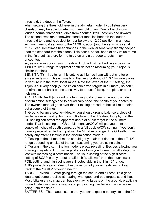threshold, the deeper the Tejon.

when setting the threshold level in the all-metal mode, if you listen very closelyou may be able to detectwo threshold tones. One is the obvious, louder, normal threshold audible from abouthe 12:00 position and upward. The second, weaker, somewhat steadier tone lies beneath the louder threshold tone and is easiest to hear below the 12:00 position. In air tests, with my threshold set around the 11:30 position (and the sensitivity set at "10"), I can sometimes hear changes in the weaker tone very slightly deeper than the standard threshold tone. This hasn't, so far, been of any value to me in the field but it's there for me to try on any ultra-deep targets I may encounter.

so, as a starting point, your threshold knob adjustment will likely be in the 11:00 to 12:00 range for optimal depth detection (assuming your Tejon is similar to mine).

SENSITIVITY---I try to run this setting as high as I can without chatter or excessive falsing. This is usually in the neighborhood of "10." I'm rarely able to venture into the Max Boost range. Note that even at the "0" setting, the Tejon is still very deep (out to B" on coin-sized targets in all-metal) so don't be afraid to cut back on the sensitivity to reduce falsing, iron pips, or other noisiness.

AIR TESTING---Th|s is kind of a fun thing to do to learn the approximate discrimination settings and to periodically check the health of your detector. The owner's manual goes over the air testing procedure but I'd like to point out a couple of things...

1. Ground balance setting---Ideally, you should ground balance a piece of ferrite before air testing but most folks forego this. Realize, though, that the GB setting can affect the apparent depth of a test target in the all-metal mode. That is, setting the GB to full negative/CCW will get you an extra couple of inches of depth compared to a full positive/CW setting. If you don't have a piece of ferrite then, just set the GB at mid-range. The GB setting has hardly any effect if testing in the discrimination mode(s).

2. Testing in the all-metal mode should get you air test depths in the 12"-15" range depending on size of the coin (assuming you are using coins).

3. Testing in the discrimination mode is pretty revealing. Besides allowing you to assign targets to knob settings, it also allows you to see how little depth is lost with increasing discrimination. That is, a setting at the high discrim setting of SCAP is only about a half-inch "shallower" than the much lower FOIL setting; and high coins are still detectable in the 11u-12" range.

4. It's probably a good idea to keep a record of your air tests just to keep track of the "health" of your detector.

TARGET PMcncE---After going through the set-up and air test, it's a good idea to get some practice at hearing what good and bad targets sound like. Most folks use a coin garden but even laying targets on the ground, practicing ground balancing, your sweeps and pin pointing can be worthwhile before going "into the field."

BATTERIES---The manual states that you can expect a battery life in the 20-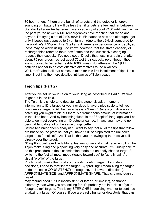30 hour range. If there are a bunch of targets and the detector is forever sounding off, battery life will be less than if targets are few and far between. Standard alkaline AA batteries have a capacity of about 2100 mAH and, within the past yr, the newer N|MH rechargeables have reached that range and beyond. I'm trying a set of 2100 mAH NIMH batteries now and although I get onfy 3 beeps (as opposed to 6) on turn on (due to the t.2ylcell compared to the alkaline's 1.SV/cell) I can't tell any difference in performance or depth, so these may be worth using. I do know, however, that the stated capacity of rechargeables refers to their "new" state and that successive charging reduces their capacity. I've got a set of D-cells that I use in a radio that after about 75 recharges has lost about 75o/of their capacity (eventhough they are supposed to be rechargeable 1000 times). Nonetheless, the N|MH batteries appear to be cost effective alternatives to the alkalines. Well, that's about all that comes to mind for this first installment of tips. Next time I'll get into the more detailed intricacies of Tejon usage.

# **Tejon tips (Part 2)**

After you've set up your Tejon to your liking as described in Part 1, it's time to get out in the field.

The Tejon is a single-tone detector withoutone, visual, or numeric information to ID a target for you; nor does it have a nice scale to tell you how deep a target is. All the Tejon has is a "beep." Quite a primitive way of detecting you might think, but there is a tremendous amount of information in that little beep. And by becoming fluent in the "Beepish" language you'll be able to do most everything an ID detector can do; in fact, you may end up being able to do a lot of the same things better.

Before beginning "beep analysis," I want to say that all of the tips that follow are based on the premise that you have "X'd" or pinpointed the unknown target to its "smallest" size. That is, that you are swinging the receive coil directly over the target,

"X'ing"fPinpointing---The lightning fast response and small receive coil on the Tejon make X'ing and pinpointing very easy and accurate. I'm usually able to do this procedure in the discrimination mode but on oddly shaped target I'll switch to the fast all-metal mode (toggle toward you) to "aurally paint" a visual "profile" of the target.

Profiling---To make the most accurate dig/no-dig, target ID and depth decisions, I need to "profile" the target. By "profiling" I mean X'ing the target to determine its CONSISTENCY (through several s,weep directions), APPROXIMATE SIZE, and APPROXIMATE SHAPE. That is, eventhough a target

may "sound good," if it is inconsistent, or larger (or smaller), or shaped differently than what you are looking for, it's probably not in a class of your "sought after" targets. This is my STEP ONE in deciding whether to continue analyzing a target. Of course, if you are a relic hunter or detectorist that digs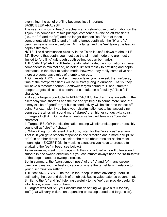everything, the act of profiling becomes less important. BASIC BEEP ANALYSF

The seemingly lowly "beep" is acfually a rich storehouse of information on the Tejon. It is composed of two principal components---the on/off transients (i.e., the "b" and the "p") and the longer duration "ee." Both of these components aid in lDing and e\*imating target depth with the "b" and "p" being somewhat more useful in IDing a target and the "ee" taking the lead in depth estimates.

NOTE: The discrimination circuitry in the Tejon is useful down to about 11"- 12". Beyond that depth, you must use the all-metal mode and are mostly limited to "profiling" (although depth estimates can be made).

THE 'b'AND "p" ANALYSIS---In the all-metal mode, the information in these components is minimal and, as noted, limited mostly to profirling and depth estimates. In the discrimination mode, however, they really come alive and there are some basic rules of thumb to go by...

1. On targets ABOVE the discrimination level you have set, the rise/decay time of the "b"/"p" transients will be relatively long in duration. That is, they will have a "smooth" sound. Shaflower targets sound "full" and "smmth," deeper targets still sound smooth but can take on a "squishy," "less full" character.

2. As your target's conductivity APPROACHES the discrimination setting, the rise/decay time shortens and the "b" and "p" begin to sound more "abrupt." It may still be a "good" target but its conductivity will be closer to the cut-off point. For example, if you have your discrimination set to just accept zinc pennies, the zincs will sound more "abrupt" than higher conductivity coins. 3. Targets EQUAL TO the discrimination setting will take on a "crackle" character.

4. Targets BELOW the discrimination setting will either disappear or possibly sound off as "pips" or "chatter."

5. When X'ing from different directions, listen for the "worst cas" scenario. That is, if you get a smooth response in one direction and a more abrupt "b" or "p" in another direction, consider the more abruptransient as the most meaningful. (EXCEPTION: In masking situations you have to proceed to analyzing the "ee" in beep; see below.)

As an example, steel crown caps with their convoluted rims will often sound smooth in one sweep direction but you can afmost always hear the "ra-ta-tatats" of the edge in another sweep direction.

So, in summary, the "worst smoothness" of the "b" and "p" in any sweep direction gives you the best indication of where the target falls in relation to your discrimination setting.

THE "ee" ANALYSIS---The "ee" in the "beep" is most obviously useful in estimating the size and depth of an object. But its value extends beyond that. Similar to the "b" and "p," listening carefully to the "ee" can provide useful ID info. Again, some rules of thumb...

1. Targets well ABOVE your discrimination setting will give a "full tonality 'ee"' (that will vary in duration depending on sweep speed and target size).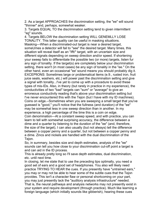2. As a target APPROACHES the discrimination setting, the "ee" will sound "thinner" and, perhaps, somewhat weaker.

3. Targets EQUAL TO the discrimination setting tend to given intermittent "eg" sounds.

4. Targets BELOW the discrimination setting WILL GENEMLLY LOSE TONALITY. This latter quality can be useful in masking situations. Masking---When a discriminated-out target is near a desired target, someUmes a detector will fail to "see" the desired target. Many times, this situation will reveal itself as an "ifft/" target, with an uncertain size and different signals depending on sweep direction and/or speed. If shortening your sweep fails to differentiate the possible two (or more) targets, listen fur any sign of tonality. If the target(s) are completely below your discrimination setting, there won't (in most cases) be any sign of tonality in the "ee." On the other hand, even an occasional "ee' sound means you should probably dig it. EXCEPfiONS: Sometimes large or problematical items (e.9., rusted iron, fruit juice seals, washers, etc.) will power past the discrimination setting and give a signal with tonality...I've yet to come up with a procedure to avoid these types of mis-IDs. Also, in theory (but rarely in practice in my experience), the conductivities of two "bad" targets can "sum" or "average" to give an erroneous conductivity reading that's above your discrimination setting but I've never encountered this with the Tejon (but I have with my ID machines). Coins on edge.--Sometimes when you are sweeping a small target that you've guessed is "good," you'll notice that the fullness (and duration) of the "ee" may be somewhat less in one sweep direction than in another. In my experience, a high percentage of the time this is a coin on edge. Coin denomination---At a constant sweep speed, and with practice, you can learn to tell with somewhat surprising accuracy, the difference between a dime and a quarter by listening to the duration of the "ee" (and, therefore, the size of the target), I can also usually (but not always) tell the difference between a copper penny and a quarter, but not between a copper penny and a dime. Zincs and nickels are handled with the dual discrimination of the Tejon.

So, in summary, besides size and depth estimates, analysis of the "ee" sounds can tell you how close to your discrimination cut-off point a target is and can aid in the ID process.

This is already pretty long so I'll save depth estimates, dual discrimination, etc. until next time.

In closing, let me state that to use the preceding tips optimally, you need a good set of ears and a good set of headphones. You also will likely need practice TRYING TO HEAR the cues. If you presently have "untrained ears," you may or may not be able to hear some of the subtle cues that the Tejon provides. This isn't a character flaw or personal shortcoming on your part, you may just presently lack the "auditory analysis infrastructure" needed. That is, the neural pathways and analysis networks may not presently exist in your system and require development (through practice). Much like learning a foreign language (which initially sounds like gibberish), hearing these cues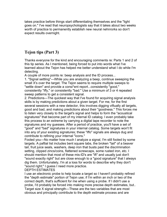takes practice before things start differentiating themselves and the "light goes on." I've read that neuropsychologists say that it takes about two weeks worth of practice to permanently establish new neural nehnrorks so don't expect results overnight.

# **Tejon tips (Part 3)**

Thanks everyone for the kind and encouraging comments re: Parts 1 and 2 of this tip series. As I mentioned, being forced to put into words what I've learned about the Tejon has helped me better understand what I do while I'm detecting.

A couple of more points re: beep analysis and the ID process...

1. "Signal settling"---While you are analyzing a beep, continue sweeping the small X's over the target. The Tejon seems to require multiple sweeps to "settle down" and provide a consi\*ent report...consistently "good," consistently "iffy," or consistently "bad." Use a minimum of 3 or 4 repeated sweep patterns to get a consistent signal.

2. Predictions---The quickest way that I've found for acquiring signal analysis skills is by making predictions about a given target. For me, for the first several sessions with a new detector, this involves digging viftually all targets, good and bad, and making predictions about their "goodness." This forces me to listen very closely to the target's signal and helps to form the "acoustical signatures" that become part of my internal ID catalog. I even probably take this process to an extreme by carrying a digital tape recorder to note the signatures and my guesses. After a period of practice, you'll have a set of "good" and "bad" signatures in your internal catalog. Some targets won't fit into any of your existing signatures; these "iffo" signals are always dug and contribute to refining your internal "icons."

Fooled you---No matter how much I analyze a signal, I'm still fooled by some targets. A paftial list includes bent square tabs, the broken "tail" of a beaver tail, fruit juice seals, washers, deep iron that busts past the discrimination setting, clipped zincs/coins, flattened screwcaps, some rusted iron, etc. I should mention that most of these mis-ID's are "ift" and usually just don't "sound exactly right" but are close enough to a "good signature" that I always dig them. Unfortunately, I'm at a loss for words to describe why they don't "sound right;" I guess I need more practice.

## DEPTH ESTIMATES

I use an electronic probe to help locate a target so I haven't probably refined the "depth estimate" portion of Tejon use; if I'm within an inch or two of the correct depth, that's sufficient for me when using a probe. If I didn't use a probe, I'd probably be forced into making more precise depth estimates, but.. Target size X signal strength---These are the two variables that are most obvious and principally contribute to the depth estimate process and are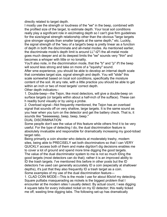directly related to target depth.

I mostly use the strength or loudness of the "ee" in the beep, combined with the profiled size of the target, to estimate depth. Your local soil conditions really play a significant role in esUmating depth so I can't give firm guidelines for the size/signal strength relationship other than the obvious "large targets give stronger signals than smaller targets at the same depth," etc. Luckily, the signal strength of the "eeu of a target's beep is pretty linear as a function of depth in both the discriminate and all-metal modes. As mentioned earlier, the discriminate mode's depth limit is around LL"-t2"i the all-metal mode goes much deeper and at its deepest limits the "ee" sounds very "thin" and becomes a whisper with little or no tonality.

You'll also note, in the discrimination mode, that the "b" and "p" if't the beep will sound less strong and take on more of a "squishy" sound.

After sme experience, you should be able to develop an internal depth scale that correlates target size, signal strength and depth. You will "slide" this scale somewhat based on local soil conditions, specifically the moisture content of the soil. At any rate, with a little practice you should be able to get within an inch or two of most targets' correct depth.

#### Other depth indicators--

1. Double-beep---the Tejon, like most detectors, will give a double-beep on surface targets (or targets within about a half-inch of the sufface). These can h readily bund visually or by using a probe.

2. Overload signal---Not frequently mentioned, the Tejon has an overload signal that sounds off on very shallow, large targets. It is the same sound as you hear when you turn on the detector and get the battery check. That is, it sounds like "beeeeeeep, beep, beep, beep."

## DUAL DISCRIMINATION

Some peopfe don't see the value of this feature while others frnd it to be very useful. For the type of detecting I do, the dual discrimination feature is absolutely invaluable and responsible for dramatically increasing my good-tobad target ratio.

Being primarily a coin shooter who detects at moderately trashy, modern sites, being able to PRECISELY set both discriminators so that I can VERY QUICKLY access both of them and make dig/don't dig decisions enables me to cover a lot of ground and spend more time digging the good targets. The value of the dual discriminator system to me is not so much lDing the good targets (most detectors can do that); rather it is an improved ability to ID the trash targets. I've mentioned this before in other posts but the ID detectors I've used can generally accurately ID a coin (especially at shallower depths), it's just that they also frequently ID a trash target as a coin. Some examples of my use of the dual discrimination feature---

1. CLAD COIN MODE---This is the mode I use for about 80o/of my detecting. Square pulltabs rnasquerading as nickels is the biggest problem that I encounter at the modern sites I usually detect. By actual count, I was digging 4 square tabs for every indicated nickel on my ID detector; this really ticked me off, wasting time digging tabs. The following set-up has dramatically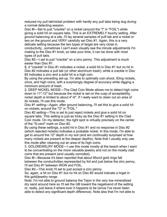reduced my pull tab/nickel problem with hardly any pull tabs being dug during a normal detecting session.

Disc #l---Set to just "crackle" on a nickel (around the "I" in "FOIL") while giving a solid hit on square tabs. This is an EXTREMELY touchy setting. After ground balancing at a site, I'll lay several samples of pufl tab and a nickel or two on the ground and VERY carefully set Disc #1. Again, this is a very delicate setting because the two types of target are very close in conductivity...sometimes I can't even visually see the minute adjustments I'm

making to the Disc #1 knob, so take your time, it can be done with most types of pull tabs.

Disc #2---I set to just "crackle" on a zinc penny. This adjustment is much easier than Disc #1.

\$, d "crackle" in Disc #1 indicates a nickel, a solid hit in Disc #1 but no hit in Disc #2 indicates a pull tab (or other aluminum trash), while a crackle in Disc #2 indicates a zinc and a solid hit is a high coin.

By using the preceding set-up, I'm able to optimally coin shoot, IDing nickels, zincs, and high coins, with a surprisingly degree of accuracy while digging a minimum amount of trash.

2. DEEP NICKEL MODE---The Clad Coin Mode allows me to detect high coins down to 11"-12" but because the nickel is set on the cusp of acceptability, nickel depth is limited to about 4"-6". If I really want to clean out an area of its nickels, I'll use this mode.

Disc #1 setting---Again, after ground balancing, I'll set this to give a solid hit on nickels; around the "O" in "FOIL."

Disc #2 setting---This is set to just reject nickels and give a solid hit on square tabs. This setting is just as tricky as the Disc #1 setting in the Clad Coin mode. On my detector, the right spot is virtually precisely on the center of the "S-cent" mark on Disc #2.

By using these settings, a solid hit in Disc #1 and no response in Disc #2 (which rejected nickels) indicates a probable nickel. In this mode, I'm able to get to around the 12" depth in my soil (and am continually surprised at how many nickels are present at the deeper depths). Note that I usually only use this mode after cleaning out an area of its high coins.

3. GOLDfiEWELRY MODE---I use this mode mostly at the beach when I want to be concentrating on the more valuable jewelry and not on the mostly clad coins that are present (and usually corroded).

Disc #l---Because it's been reported that about 95o/of gold rings fall between the conductivities represented by foil and just below the zinc penny, I'll set Disc #1 between IRON and FOIL.

Disc #2---This knob I'll set to just accept a zinc penny.

So, again, a hit on Disc #1 but no hit on Disc #2 would indicate a hrget in this gold/jewelry range.

Note: I'm not able to ground balance the Tejon in the very low mineralized dry sand around here so I'll set the GB toward the negativend of the setting or, really, just leave it where ever it happens to be (since I've never been able to detect any significant depth difference). Note also that I'm not able to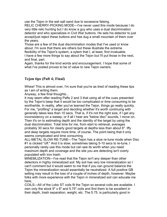use the Tejon in the wet salt sand due to excessive falsing.

RELIC CHERRY-PICKING MODE---I've never used this mode because I do very little relic hunting but I do know a guy who uses a dual discrimination detector and who specializes in Civil War buttons. He sets his detector to just accept/just reject these buttons and has dug a small mountain of them over the years.

Those are a few of the dual discrimination modes that I've used or know about. I'm sure that there are others but these illustrate the extreme flexibility of the Tejon's system, a sytem that I, at least, find invaluable.

I have a few more things to say about the Tejon but I'll put those in the next, and final, part.

Again, thanks for the kind words and encouragement. I hope that some of what I've posted proves to be of value to new Tejon owners.

## **Tejon tips (Paft 4; Final)**

Whew! This is almost over, I'm sure that you're as tired of reading these tips as I am of writing them.

Anyway, a few final thoughts...

It may seem after reading Pafts 2 and 3 that using all of the cues presented by the Tejon's beep that it would be too complicated or time consuming to be worthwhile. In reality, after you've learned the Tejon, things go really quickly. For me, "profiling" a target and deciding whether it's worth continuing with generally takes less than 10 secs. That is, if it's not the right size, if I get any inconsistency on a sweep, or if all I hear are "below disc" sounds, I move on, Then it's on to estimating depth and the identity of the target by using the dual discrimination. Total time for me, from start to retrieval, averages probably 30 secs for clearly good targets at depths less than about 6". Iffy and deep targets require more time, of course. The point being that it only seems complicated and time consuming.

ALL-METAL SLOW RE-TUNE---The Tejon has a slow re-tune mode when Disc #1 is clicked "off." And it is slow; sometimes taking 5-10 secs to re-tune, I personally rarely use this mode but can see its worth when you need maximum depth and coverage and the site you are detecting isn't overly populated with iron trash.

MINEMLIZATION---I've read that the Tejon isn't any deeper than other detectors in highly mineralized soil. My soil has very low mineralization so I can't comment but it would seem to me that if you can ground balance the Tejon the mineralization would essentially be neutralized. A full positive GB setting may result in the loss of a couple of inches of depth, however. Maybe folks with more experience with the Tejon in mineralized soil can educate me here,

COILS---AII of the Lobo ST coils fit the Tejon so several coils are available. I own only the stock 9" x 8" and 5.75" coils and find them to be excellent in their depth, trash separation, weight, etc. The 5.75. is particularly good in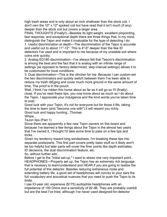high trash areas and is only about an inch shallower than the stock coil. I don't own the 10" x 12" spoked coil but have read that it isn't much (if any) deeper than the stock coil but covers a larger area.

FINAL THOUGHTS (Finally!)---Besides its light weight, excellent pinpointing, fast response, and exceptional depth there are three things that, in my mind, distinguish the Tejon and make it invaluable for the type of detecting I do:

1. Useful discrimination at depth---The discrimination of the Tejon is accurate and useful out to about 11"-12". This is 4"-6" deeper than the few ID detectors I've used and is important to me because of my unstable soil where coins sink quickly.

2. Analog ED180 discrimination---I've always felt that Tesoro's discrimination is among the best and the fact that it is analog with an infinite range of settings (as opposed to factory-deterrnined, step-interual settings) allows it to be customized for local conditions.

3. Dual discrimination---This is the clincher for me. Because I can custom-set the two discriminators and quickly switch between them I've been able to reduce my trash diEging and cover much more ground in the same amount of time, The proof is in the pouch.

Well, I think I've ridden this horse about as far as it will go so I'll (finally) close. If you've read these tips, you now know about as much as I do about the Tejon. I appreciate your indulgence and the kind words you've taken time to post.

Good luck with your Tejon, It's not for everyone but for those it fits, taking the time to learn (and "becorne one with") it will reward you richly. Good luck and happy hunting...Thomas

Whew...

TeJon tips (Part 1)

Since there are apparently a few new Tejon owners on this board and because I've learned a few things about the Tejon in the almost two years that I've owned it, I thought I'd take some time to pass on a few tips and tricks.

Given my tendency toward long-windedness, I'm breaking these tips into separate posts/parts. This first part covers pretty basic stuff so it likely won't be too helpful but later parts will cover the finer points like depth estimates, ID decisions, the dual discrimination feature, etc.

5o, without further ado...

Before I get to the "initial set-up," I want to stress one very important point... HEADPHONES---Properly set up, the Tejon has an extremely rich language that is necessry to learn/understand and HEAR if you are going to realize the full potential of this detector. Besides reducing extraneous noise and extending battery life, a good set of headphones will convey to your ears the full vocabulary and acoustical nuances that you need to push the Tejon to its limits.

I use lO-year old, expensive (\$175) audiophile headphones with an impedance of 100 Ohms and a sensitivity of 92 dB. They are probably overkill but are the best I've tried, although I've never used designed-for-detector